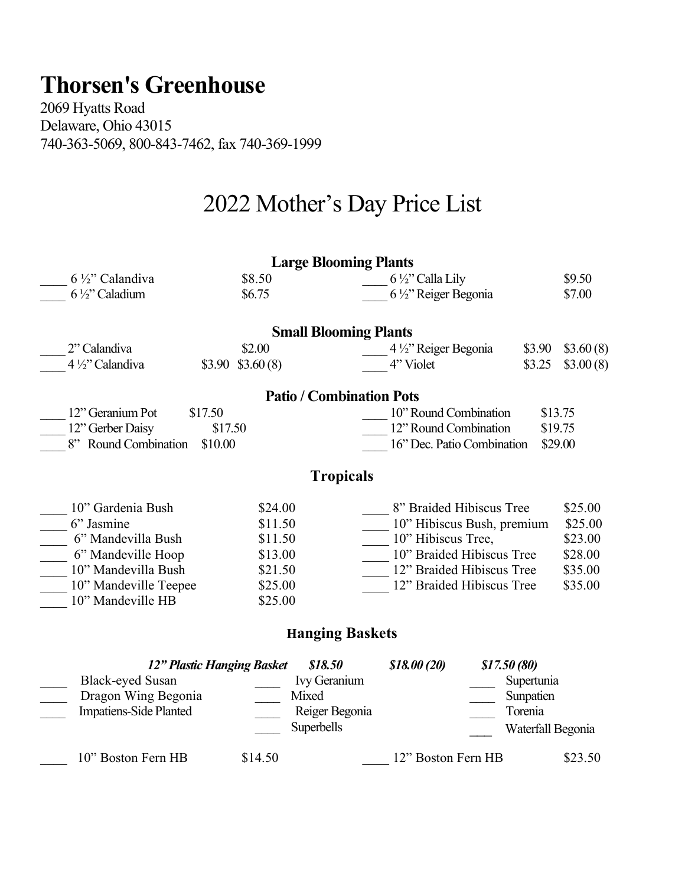## **Thorsen's Greenhouse**

2069 Hyatts Road Delaware, Ohio 43015 740-363-5069, 800-843-7462, fax 740-369-1999

## 2022 Mother's Day Price List

|                                 |                            | <b>Large Blooming Plants</b>    |                                       |             |            |                   |  |  |  |  |
|---------------------------------|----------------------------|---------------------------------|---------------------------------------|-------------|------------|-------------------|--|--|--|--|
| $6\frac{1}{2}$ " Calandiva      | \$8.50                     |                                 | $6\frac{1}{2}$ " Calla Lily           |             |            | \$9.50            |  |  |  |  |
| 6 1/2" Caladium                 | \$6.75                     |                                 | 6 1/2" Reiger Begonia                 |             |            | \$7.00            |  |  |  |  |
|                                 |                            |                                 |                                       |             |            |                   |  |  |  |  |
| <b>Small Blooming Plants</b>    |                            |                                 |                                       |             |            |                   |  |  |  |  |
| 2" Calandiva                    | \$2.00                     |                                 | 4 1/2" Reiger Begonia                 |             | \$3.90     | \$3.60(8)         |  |  |  |  |
| 4 1/2" Calandiva                | $$3.90$ $$3.60(8)$         |                                 | 4" Violet                             |             | \$3.25     | \$3.00(8)         |  |  |  |  |
|                                 |                            | <b>Patio / Combination Pots</b> |                                       |             |            |                   |  |  |  |  |
| 12" Geranium Pot                | \$17.50                    |                                 | 10" Round Combination                 |             |            | \$13.75           |  |  |  |  |
| 12" Gerber Daisy<br>\$17.50     |                            |                                 | 12" Round Combination<br>\$19.75      |             |            |                   |  |  |  |  |
| 8" Round Combination<br>\$10.00 |                            |                                 | 16" Dec. Patio Combination<br>\$29.00 |             |            |                   |  |  |  |  |
|                                 |                            |                                 |                                       |             |            |                   |  |  |  |  |
|                                 |                            | <b>Tropicals</b>                |                                       |             |            |                   |  |  |  |  |
| 10" Gardenia Bush               | \$24.00                    |                                 | 8" Braided Hibiscus Tree              |             |            | \$25.00           |  |  |  |  |
| 6" Jasmine                      | \$11.50                    |                                 | 10" Hibiscus Bush, premium            |             |            | \$25.00           |  |  |  |  |
| 6" Mandevilla Bush              | \$11.50                    |                                 | 10" Hibiscus Tree,                    |             |            | \$23.00           |  |  |  |  |
| 6" Mandeville Hoop              | \$13.00                    |                                 | 10" Braided Hibiscus Tree             |             |            | \$28.00           |  |  |  |  |
| 10" Mandevilla Bush             | \$21.50                    |                                 | 12" Braided Hibiscus Tree             |             |            | \$35.00           |  |  |  |  |
| 10" Mandeville Teepee           | \$25.00                    |                                 | 12" Braided Hibiscus Tree             |             |            | \$35.00           |  |  |  |  |
| 10" Mandeville HB               | \$25.00                    |                                 |                                       |             |            |                   |  |  |  |  |
|                                 |                            | <b>Hanging Baskets</b>          |                                       |             |            |                   |  |  |  |  |
|                                 | 12" Plastic Hanging Basket | \$18.50                         | \$18.00(20)                           | \$17.50(80) |            |                   |  |  |  |  |
| <b>Black-eyed Susan</b>         |                            | Ivy Geranium                    |                                       |             | Supertunia |                   |  |  |  |  |
| Dragon Wing Begonia             |                            | Mixed                           |                                       |             | Sunpatien  |                   |  |  |  |  |
| <b>Impatiens-Side Planted</b>   |                            | Reiger Begonia                  |                                       |             | Torenia    |                   |  |  |  |  |
|                                 |                            | Superbells                      |                                       |             |            | Waterfall Begonia |  |  |  |  |
| 10" Boston Fern HB              | \$14.50                    |                                 | 12" Boston Fern HB                    |             |            | \$23.50           |  |  |  |  |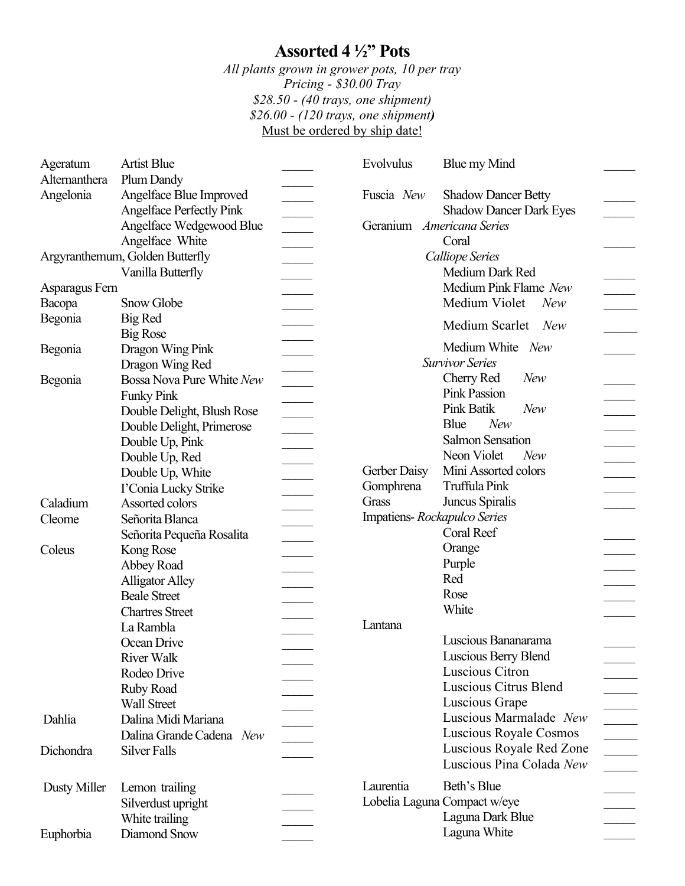## **Assorted 4 ½" Pots**

*All plants grown in grower pots, 10 per tray Pricing - \$30.00 Tray \$28.50 - (40 trays, one shipment) \$26.00 - (120 trays, one shipment)*  Must be ordered by ship date!

| Ageratum       | <b>Artist Blue</b>                          |                                                                                                                                                                                                                                                                                                                                                                                                                                                                                                 | Evolvulus                   | Blue my Mind                                         |                                                          |
|----------------|---------------------------------------------|-------------------------------------------------------------------------------------------------------------------------------------------------------------------------------------------------------------------------------------------------------------------------------------------------------------------------------------------------------------------------------------------------------------------------------------------------------------------------------------------------|-----------------------------|------------------------------------------------------|----------------------------------------------------------|
| Alternanthera  | Plum Dandy                                  |                                                                                                                                                                                                                                                                                                                                                                                                                                                                                                 |                             |                                                      |                                                          |
| Angelonia      | Angelface Blue Improved                     |                                                                                                                                                                                                                                                                                                                                                                                                                                                                                                 | Fuscia New                  | <b>Shadow Dancer Betty</b>                           |                                                          |
|                | <b>Angelface Perfectly Pink</b>             |                                                                                                                                                                                                                                                                                                                                                                                                                                                                                                 |                             | <b>Shadow Dancer Dark Eyes</b>                       |                                                          |
|                | Angelface Wedgewood Blue                    |                                                                                                                                                                                                                                                                                                                                                                                                                                                                                                 | Geranium Americana Series   |                                                      |                                                          |
|                | Angelface White                             |                                                                                                                                                                                                                                                                                                                                                                                                                                                                                                 |                             | Coral                                                |                                                          |
|                | Argyranthemum, Golden Butterfly             |                                                                                                                                                                                                                                                                                                                                                                                                                                                                                                 |                             | <b>Calliope Series</b>                               |                                                          |
|                | Vanilla Butterfly                           |                                                                                                                                                                                                                                                                                                                                                                                                                                                                                                 |                             | Medium Dark Red                                      |                                                          |
| Asparagus Fern |                                             |                                                                                                                                                                                                                                                                                                                                                                                                                                                                                                 |                             | Medium Pink Flame New                                |                                                          |
| Bacopa         | Snow Globe                                  |                                                                                                                                                                                                                                                                                                                                                                                                                                                                                                 |                             | Medium Violet<br>New                                 |                                                          |
| Begonia        | Big Red                                     |                                                                                                                                                                                                                                                                                                                                                                                                                                                                                                 |                             |                                                      |                                                          |
|                | <b>Big Rose</b>                             |                                                                                                                                                                                                                                                                                                                                                                                                                                                                                                 |                             | Medium Scarlet New                                   |                                                          |
| Begonia        | Dragon Wing Pink                            |                                                                                                                                                                                                                                                                                                                                                                                                                                                                                                 |                             | Medium White New                                     |                                                          |
|                | $\overline{\phantom{a}}$<br>Dragon Wing Red |                                                                                                                                                                                                                                                                                                                                                                                                                                                                                                 | <b>Survivor Series</b>      |                                                      |                                                          |
| Begonia        | Bossa Nova Pure White New                   | $\overline{\phantom{a}}$<br>$\overline{\phantom{a}}$                                                                                                                                                                                                                                                                                                                                                                                                                                            |                             | Cherry Red<br>New                                    |                                                          |
|                | <b>Funky Pink</b>                           |                                                                                                                                                                                                                                                                                                                                                                                                                                                                                                 |                             | <b>Pink Passion</b>                                  |                                                          |
|                | Double Delight, Blush Rose                  | $\begin{tabular}{c} \multicolumn{1}{c} {\textbf{1}} & \multicolumn{1}{c} {\textbf{1}} & \multicolumn{1}{c} {\textbf{1}} \\ \multicolumn{1}{c} {\textbf{1}} & \multicolumn{1}{c} {\textbf{1}} & \multicolumn{1}{c} {\textbf{1}} \\ \multicolumn{1}{c} {\textbf{1}} & \multicolumn{1}{c} {\textbf{1}} & \multicolumn{1}{c} {\textbf{1}} \\ \multicolumn{1}{c} {\textbf{1}} & \multicolumn{1}{c} {\textbf{1}} & \multicolumn{1}{c} {\textbf{1}} \\ \multicolumn{1}{c} {\textbf{1}} & \multicolumn$ |                             | <b>Pink Batik</b><br>New                             |                                                          |
|                | Double Delight, Primerose                   |                                                                                                                                                                                                                                                                                                                                                                                                                                                                                                 |                             | Blue<br>New                                          |                                                          |
|                | Double Up, Pink                             |                                                                                                                                                                                                                                                                                                                                                                                                                                                                                                 |                             | <b>Salmon Sensation</b>                              |                                                          |
|                | Double Up, Red                              | $\mathcal{L}$                                                                                                                                                                                                                                                                                                                                                                                                                                                                                   |                             | Neon Violet<br>New                                   |                                                          |
|                | Double Up, White                            |                                                                                                                                                                                                                                                                                                                                                                                                                                                                                                 | Gerber Daisy                | Mini Assorted colors                                 |                                                          |
|                | I'Conia Lucky Strike                        |                                                                                                                                                                                                                                                                                                                                                                                                                                                                                                 | Gomphrena                   | Truffula Pink                                        |                                                          |
| Caladium       | Assorted colors                             |                                                                                                                                                                                                                                                                                                                                                                                                                                                                                                 | Grass                       | Juncus Spiralis                                      |                                                          |
| Cleome         | Señorita Blanca                             | $\overline{\phantom{a}}$                                                                                                                                                                                                                                                                                                                                                                                                                                                                        | Impatiens-Rockapulco Series |                                                      |                                                          |
|                | Señorita Pequeña Rosalita                   |                                                                                                                                                                                                                                                                                                                                                                                                                                                                                                 |                             | Coral Reef                                           |                                                          |
| Coleus         | Kong Rose                                   |                                                                                                                                                                                                                                                                                                                                                                                                                                                                                                 |                             | Orange                                               |                                                          |
|                | Abbey Road                                  |                                                                                                                                                                                                                                                                                                                                                                                                                                                                                                 |                             | Purple                                               |                                                          |
|                | <b>Alligator Alley</b>                      |                                                                                                                                                                                                                                                                                                                                                                                                                                                                                                 |                             | Red                                                  |                                                          |
|                | <b>Beale Street</b>                         |                                                                                                                                                                                                                                                                                                                                                                                                                                                                                                 |                             | Rose                                                 |                                                          |
|                | <b>Chartres Street</b>                      |                                                                                                                                                                                                                                                                                                                                                                                                                                                                                                 |                             | White                                                |                                                          |
|                | La Rambla                                   |                                                                                                                                                                                                                                                                                                                                                                                                                                                                                                 | Lantana                     |                                                      |                                                          |
|                | Ocean Drive                                 |                                                                                                                                                                                                                                                                                                                                                                                                                                                                                                 |                             | Luscious Bananarama                                  |                                                          |
|                |                                             |                                                                                                                                                                                                                                                                                                                                                                                                                                                                                                 |                             | <b>Luscious Berry Blend</b>                          |                                                          |
|                | <b>River Walk</b>                           |                                                                                                                                                                                                                                                                                                                                                                                                                                                                                                 |                             | Luscious Citron                                      |                                                          |
|                | Rodeo Drive                                 |                                                                                                                                                                                                                                                                                                                                                                                                                                                                                                 |                             | Luscious Citrus Blend                                |                                                          |
|                | Ruby Road                                   |                                                                                                                                                                                                                                                                                                                                                                                                                                                                                                 |                             | Luscious Grape                                       |                                                          |
|                | <b>Wall Street</b>                          |                                                                                                                                                                                                                                                                                                                                                                                                                                                                                                 |                             | Luscious Marmalade New                               |                                                          |
| Dahlia         | Dalina Midi Mariana                         |                                                                                                                                                                                                                                                                                                                                                                                                                                                                                                 |                             | Luscious Royale Cosmos                               |                                                          |
|                | Dalina Grande Cadena New                    |                                                                                                                                                                                                                                                                                                                                                                                                                                                                                                 |                             |                                                      |                                                          |
| Dichondra      | <b>Silver Falls</b>                         |                                                                                                                                                                                                                                                                                                                                                                                                                                                                                                 |                             | Luscious Royale Red Zone<br>Luscious Pina Colada New | $\mathcal{L}$<br>$\mathcal{L}^{\text{max}}_{\text{max}}$ |
| Dusty Miller   | Lemon trailing                              |                                                                                                                                                                                                                                                                                                                                                                                                                                                                                                 | Laurentia                   | Beth's Blue                                          |                                                          |
|                | Silverdust upright                          |                                                                                                                                                                                                                                                                                                                                                                                                                                                                                                 |                             | Lobelia Laguna Compact w/eye                         |                                                          |
|                | White trailing                              |                                                                                                                                                                                                                                                                                                                                                                                                                                                                                                 |                             | Laguna Dark Blue                                     |                                                          |
| Euphorbia      | Diamond Snow                                |                                                                                                                                                                                                                                                                                                                                                                                                                                                                                                 |                             | Laguna White                                         |                                                          |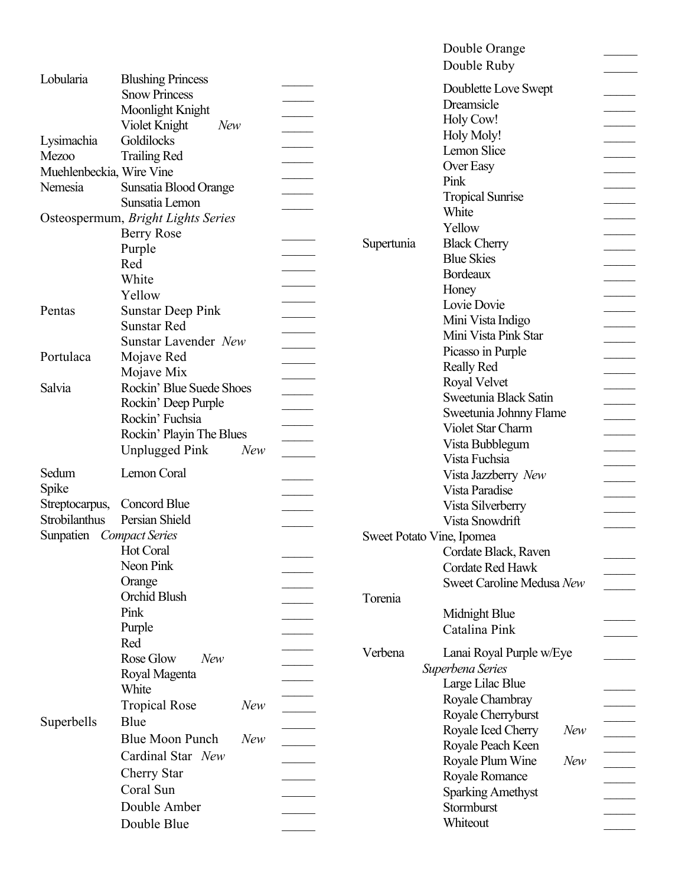|                                    |                               |                          |                                                   | Double Orange<br>Double Ruby       |               |  |
|------------------------------------|-------------------------------|--------------------------|---------------------------------------------------|------------------------------------|---------------|--|
| Lobularia                          | <b>Blushing Princess</b>      |                          |                                                   |                                    |               |  |
|                                    | <b>Snow Princess</b>          |                          |                                                   | Doublette Love Swept<br>Dreamsicle |               |  |
|                                    | Moonlight Knight              |                          |                                                   |                                    |               |  |
|                                    | Violet Knight<br><b>New</b>   |                          |                                                   | Holy Cow!                          |               |  |
| Lysimachia                         | Goldilocks                    |                          |                                                   | Holy Moly!                         |               |  |
| <b>Mezoo</b>                       | <b>Trailing Red</b>           |                          |                                                   | Lemon Slice                        |               |  |
| Muehlenbeckia, Wire Vine           |                               |                          |                                                   | Over Easy                          |               |  |
| Nemesia                            | Sunsatia Blood Orange         |                          |                                                   | Pink                               |               |  |
|                                    | Sunsatia Lemon                |                          |                                                   | <b>Tropical Sunrise</b>            |               |  |
| Osteospermum, Bright Lights Series |                               |                          |                                                   | White                              |               |  |
|                                    | <b>Berry Rose</b>             |                          |                                                   | Yellow                             |               |  |
|                                    | Purple                        |                          | Supertunia                                        | <b>Black Cherry</b>                |               |  |
|                                    | Red                           |                          |                                                   | <b>Blue Skies</b>                  |               |  |
|                                    | White                         |                          |                                                   | <b>Bordeaux</b>                    |               |  |
|                                    | Yellow                        |                          |                                                   | Honey                              |               |  |
| Pentas                             | <b>Sunstar Deep Pink</b>      |                          |                                                   | Lovie Dovie                        |               |  |
|                                    | <b>Sunstar Red</b>            |                          |                                                   | Mini Vista Indigo                  |               |  |
|                                    | Sunstar Lavender New          |                          |                                                   | Mini Vista Pink Star               |               |  |
| Portulaca                          |                               |                          |                                                   | Picasso in Purple                  |               |  |
|                                    | Mojave Red                    |                          |                                                   | <b>Really Red</b>                  |               |  |
|                                    | Mojave Mix                    |                          |                                                   | Royal Velvet                       |               |  |
| Salvia                             | Rockin' Blue Suede Shoes      |                          |                                                   | Sweetunia Black Satin              |               |  |
|                                    | Rockin' Deep Purple           |                          |                                                   | Sweetunia Johnny Flame             |               |  |
|                                    | Rockin' Fuchsia               | $\overline{\phantom{a}}$ |                                                   | Violet Star Charm                  |               |  |
|                                    | Rockin' Playin The Blues      |                          |                                                   | Vista Bubblegum                    |               |  |
|                                    | <b>Unplugged Pink</b><br>New  |                          |                                                   | Vista Fuchsia                      |               |  |
| Sedum                              | Lemon Coral                   |                          |                                                   | Vista Jazzberry New                |               |  |
| Spike                              |                               |                          |                                                   | Vista Paradise                     |               |  |
| Streptocarpus,                     | Concord Blue                  |                          |                                                   | Vista Silverberry                  |               |  |
| Strobilanthus                      | Persian Shield                |                          |                                                   | Vista Snowdrift                    |               |  |
| Sunpatien                          | <b>Compact Series</b>         |                          |                                                   |                                    |               |  |
|                                    | Hot Coral                     |                          | Sweet Potato Vine, Ipomea<br>Cordate Black, Raven |                                    |               |  |
|                                    | Neon Pink                     |                          |                                                   | Cordate Red Hawk                   |               |  |
|                                    | Orange                        |                          |                                                   |                                    |               |  |
|                                    | Orchid Blush                  |                          |                                                   | Sweet Caroline Medusa New          |               |  |
|                                    | Pink                          |                          | Torenia                                           |                                    |               |  |
|                                    |                               |                          |                                                   | Midnight Blue                      |               |  |
|                                    | Purple                        |                          |                                                   | Catalina Pink                      |               |  |
|                                    | Red                           |                          | Verbena                                           | Lanai Royal Purple w/Eye           |               |  |
|                                    | Rose Glow<br>New              |                          |                                                   | Superbena Series                   |               |  |
|                                    | Royal Magenta                 |                          |                                                   | Large Lilac Blue                   |               |  |
|                                    | White                         |                          |                                                   | Royale Chambray                    |               |  |
|                                    | <b>Tropical Rose</b><br>New   |                          |                                                   | Royale Cherryburst                 |               |  |
| Superbells                         | Blue                          |                          |                                                   | Royale Iced Cherry<br>New          |               |  |
|                                    | <b>Blue Moon Punch</b><br>New |                          |                                                   |                                    |               |  |
|                                    | Cardinal Star New             |                          |                                                   | Royale Peach Keen<br>New           |               |  |
|                                    | <b>Cherry Star</b>            |                          |                                                   | Royale Plum Wine                   |               |  |
|                                    | Coral Sun                     |                          |                                                   | Royale Romance                     |               |  |
|                                    | Double Amber                  |                          |                                                   | <b>Sparking Amethyst</b>           | $\mathcal{L}$ |  |
|                                    |                               |                          |                                                   | Stormburst                         |               |  |
|                                    | Double Blue                   |                          |                                                   | Whiteout                           |               |  |